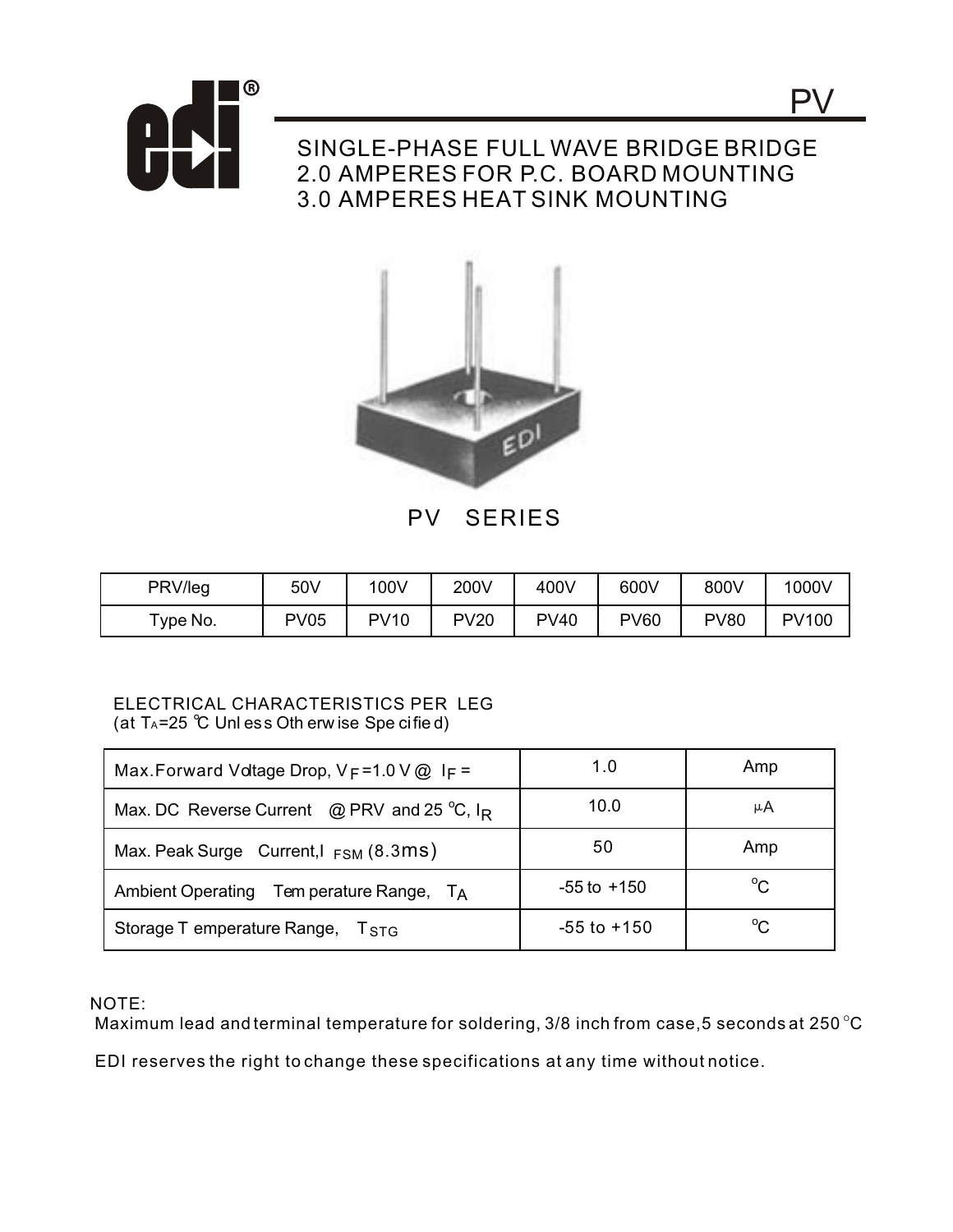

## SINGLE-PHASE FULL WAVE BRIDGE BRIDGE 2.0 AMPERES FOR P.C. BOARD MOUNTING 3.0 AMPERES HEAT SINK MOUNTING



PV SERIES

| PRV/leg  | 50V         | 100V        | 200V        | 400V        | 600V        | 800V        | 1000V        |
|----------|-------------|-------------|-------------|-------------|-------------|-------------|--------------|
| Type No. | <b>PV05</b> | <b>PV10</b> | <b>PV20</b> | <b>PV40</b> | <b>PV60</b> | <b>PV80</b> | <b>PV100</b> |

## ELECTRICAL CHARACTERISTICS PER LEG (at  $T_A = 25$  °C Unl ess Oth erw ise Spe cified)

| Max. Forward Voltage Drop, $V = 1.0 V @$ IF                       | 1.0             | Amp         |  |
|-------------------------------------------------------------------|-----------------|-------------|--|
| Max. DC Reverse Current @ PRV and 25 $^{\circ}$ C, I <sub>R</sub> | 10.0            | μA          |  |
| Max. Peak Surge Current, $F_{SM}$ (8.3ms)                         | 50              | Amp         |  |
| Ambient Operating Tem perature Range, TA                          | $-55$ to $+150$ | $^{\circ}C$ |  |
| Storage T emperature Range, T <sub>STG</sub>                      | $-55$ to $+150$ |             |  |

NOTE:

Maximum lead and terminal temperature for soldering,  $3/8$  inch from case, 5 seconds at 250 °C

EDI reserves the right to change these specifications at any time without notice.